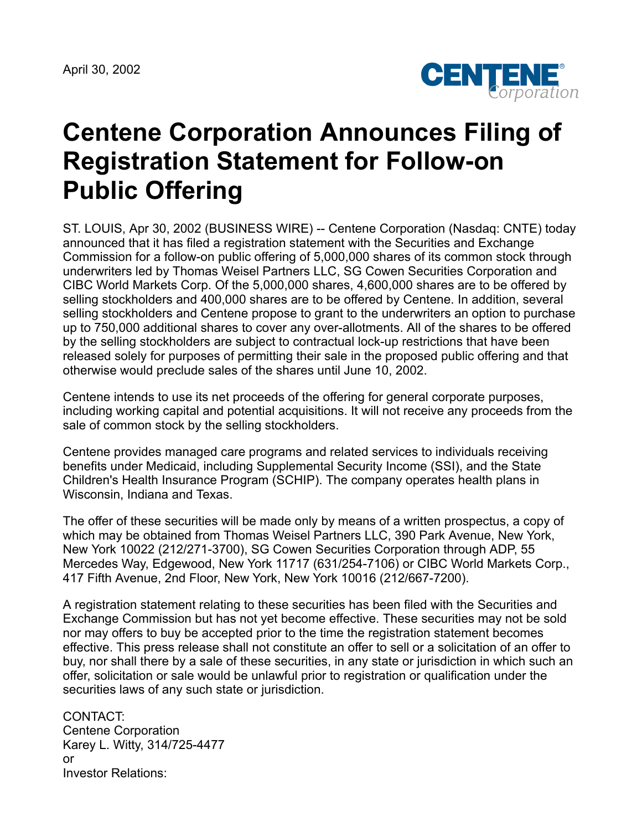April 30, 2002



## **Centene Corporation Announces Filing of Registration Statement for Follow-on Public Offering**

ST. LOUIS, Apr 30, 2002 (BUSINESS WIRE) -- Centene Corporation (Nasdaq: CNTE) today announced that it has filed a registration statement with the Securities and Exchange Commission for a follow-on public offering of 5,000,000 shares of its common stock through underwriters led by Thomas Weisel Partners LLC, SG Cowen Securities Corporation and CIBC World Markets Corp. Of the 5,000,000 shares, 4,600,000 shares are to be offered by selling stockholders and 400,000 shares are to be offered by Centene. In addition, several selling stockholders and Centene propose to grant to the underwriters an option to purchase up to 750,000 additional shares to cover any over-allotments. All of the shares to be offered by the selling stockholders are subject to contractual lock-up restrictions that have been released solely for purposes of permitting their sale in the proposed public offering and that otherwise would preclude sales of the shares until June 10, 2002.

Centene intends to use its net proceeds of the offering for general corporate purposes, including working capital and potential acquisitions. It will not receive any proceeds from the sale of common stock by the selling stockholders.

Centene provides managed care programs and related services to individuals receiving benefits under Medicaid, including Supplemental Security Income (SSI), and the State Children's Health Insurance Program (SCHIP). The company operates health plans in Wisconsin, Indiana and Texas.

The offer of these securities will be made only by means of a written prospectus, a copy of which may be obtained from Thomas Weisel Partners LLC, 390 Park Avenue, New York, New York 10022 (212/271-3700), SG Cowen Securities Corporation through ADP, 55 Mercedes Way, Edgewood, New York 11717 (631/254-7106) or CIBC World Markets Corp., 417 Fifth Avenue, 2nd Floor, New York, New York 10016 (212/667-7200).

A registration statement relating to these securities has been filed with the Securities and Exchange Commission but has not yet become effective. These securities may not be sold nor may offers to buy be accepted prior to the time the registration statement becomes effective. This press release shall not constitute an offer to sell or a solicitation of an offer to buy, nor shall there by a sale of these securities, in any state or jurisdiction in which such an offer, solicitation or sale would be unlawful prior to registration or qualification under the securities laws of any such state or jurisdiction.

CONTACT: Centene Corporation Karey L. Witty, 314/725-4477 or Investor Relations: